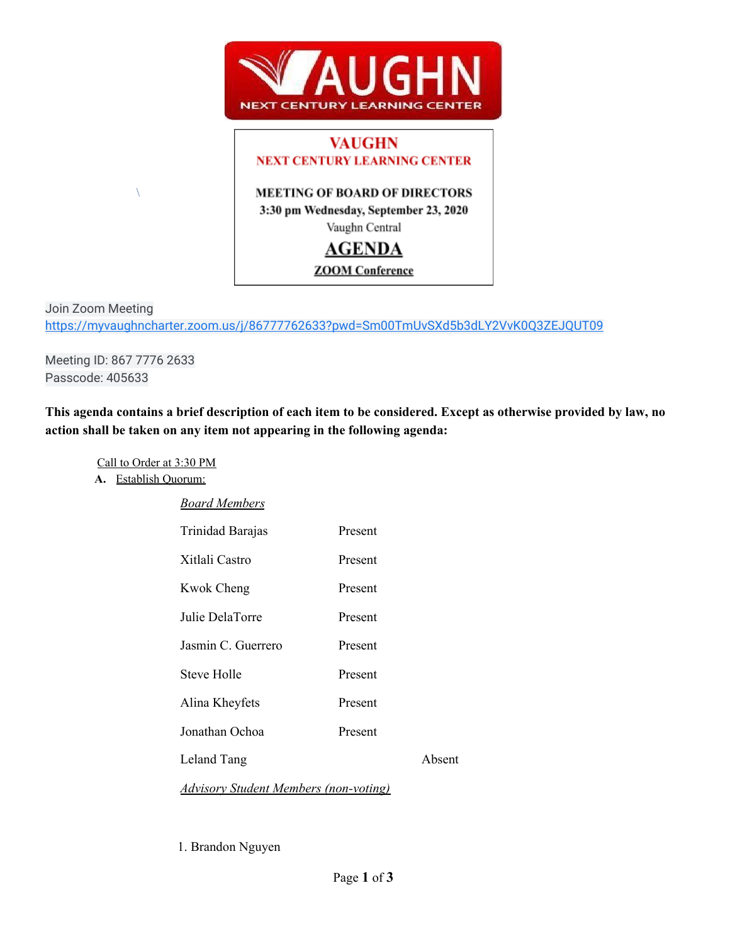

# **VAUGHN NEXT CENTURY LEARNING CENTER**

# **MEETING OF BOARD OF DIRECTORS**

3:30 pm Wednesday, September 23, 2020

# Vaughn Central

# **AGENDA**

**ZOOM** Conference

Join Zoom Meeting <https://myvaughncharter.zoom.us/j/86777762633?pwd=Sm00TmUvSXd5b3dLY2VvK0Q3ZEJQUT09>

Meeting ID: 867 7776 2633 Passcode: 405633

 $\setminus$ 

This agenda contains a brief description of each item to be considered. Except as otherwise provided by law, no **action shall be taken on any item not appearing in the following agenda:**

Call to Order at 3:30 PM

**A.** Establish Quorum:

| <b>Board Members</b> |
|----------------------|
|                      |

| Trinidad Barajas                             | Present |        |
|----------------------------------------------|---------|--------|
| Xitlali Castro                               | Present |        |
| <b>Kwok Cheng</b>                            | Present |        |
| Julie DelaTorre                              | Present |        |
| Jasmin C. Guerrero                           | Present |        |
| <b>Steve Holle</b>                           | Present |        |
| Alina Kheyfets                               | Present |        |
| Jonathan Ochoa                               | Present |        |
| Leland Tang                                  |         | Absent |
| <b>Advisory Student Members (non-voting)</b> |         |        |

1. Brandon Nguyen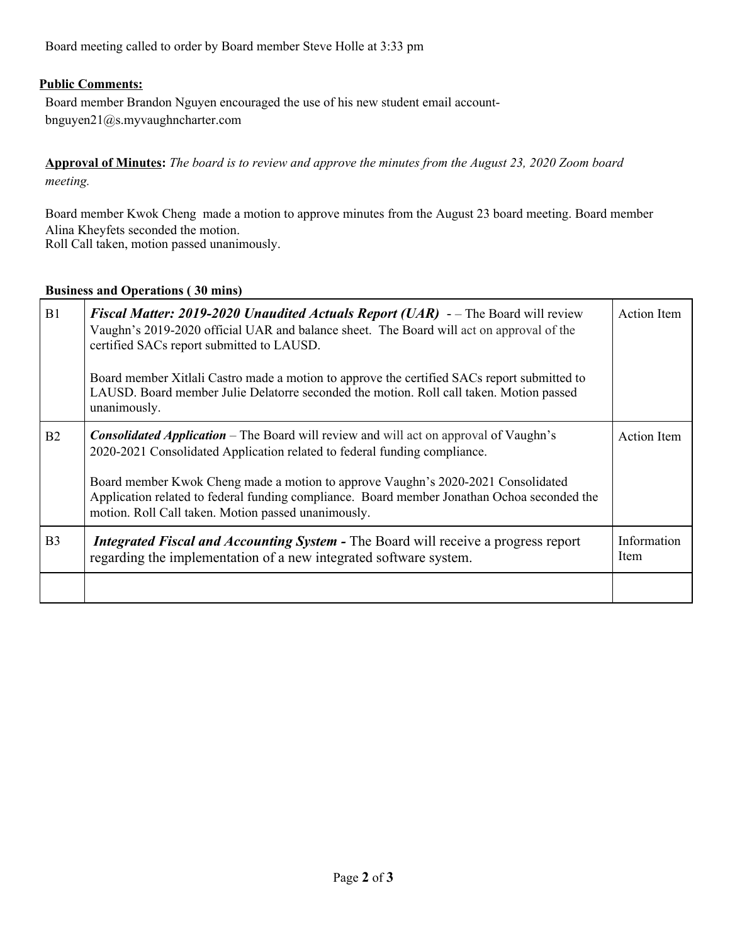Board meeting called to order by Board member Steve Holle at 3:33 pm

## **Public Comments:**

Board member Brandon Nguyen encouraged the use of his new student email accountbnguyen21@s.myvaughncharter.com

Approval of Minutes: The board is to review and approve the minutes from the August 23, 2020 Zoom board *meeting.*

Board member Kwok Cheng made a motion to approve minutes from the August 23 board meeting. Board member Alina Kheyfets seconded the motion. Roll Call taken, motion passed unanimously.

#### **Business and Operations ( 30 mins)**

| B1             | <b>Fiscal Matter: 2019-2020 Unaudited Actuals Report (UAR)</b> -- The Board will review<br>Vaughn's 2019-2020 official UAR and balance sheet. The Board will act on approval of the<br>certified SACs report submitted to LAUSD.<br>Board member Xitlali Castro made a motion to approve the certified SACs report submitted to<br>LAUSD. Board member Julie Delatorre seconded the motion. Roll call taken. Motion passed<br>unanimously. | <b>Action</b> Item  |
|----------------|--------------------------------------------------------------------------------------------------------------------------------------------------------------------------------------------------------------------------------------------------------------------------------------------------------------------------------------------------------------------------------------------------------------------------------------------|---------------------|
| B <sub>2</sub> | <b>Consolidated Application</b> – The Board will review and will act on approval of Vaughn's<br>2020-2021 Consolidated Application related to federal funding compliance.<br>Board member Kwok Cheng made a motion to approve Vaughn's 2020-2021 Consolidated<br>Application related to federal funding compliance. Board member Jonathan Ochoa seconded the<br>motion. Roll Call taken. Motion passed unanimously.                        | <b>Action</b> Item  |
| B <sub>3</sub> | Integrated Fiscal and Accounting System - The Board will receive a progress report<br>regarding the implementation of a new integrated software system.                                                                                                                                                                                                                                                                                    | Information<br>Item |
|                |                                                                                                                                                                                                                                                                                                                                                                                                                                            |                     |